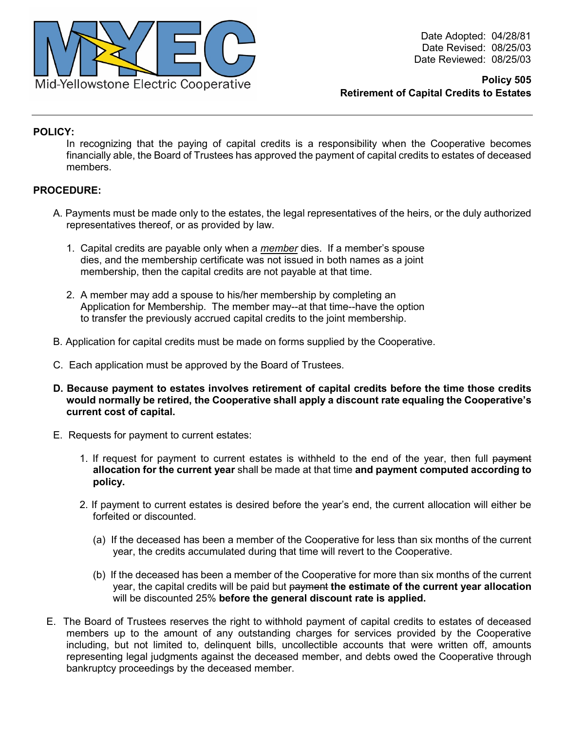

Date Adopted: 04/28/81 Date Revised: 08/25/03 Date Reviewed: 08/25/03

**Policy 505 Retirement of Capital Credits to Estates**

## **POLICY:**

In recognizing that the paying of capital credits is a responsibility when the Cooperative becomes financially able, the Board of Trustees has approved the payment of capital credits to estates of deceased members.

## **PROCEDURE:**

- A. Payments must be made only to the estates, the legal representatives of the heirs, or the duly authorized representatives thereof, or as provided by law.
	- 1. Capital credits are payable only when a *member* dies. If a member's spouse dies, and the membership certificate was not issued in both names as a joint membership, then the capital credits are not payable at that time.
	- 2. A member may add a spouse to his/her membership by completing an Application for Membership. The member may--at that time--have the option to transfer the previously accrued capital credits to the joint membership.
- B. Application for capital credits must be made on forms supplied by the Cooperative.
- C. Each application must be approved by the Board of Trustees.
- **D. Because payment to estates involves retirement of capital credits before the time those credits would normally be retired, the Cooperative shall apply a discount rate equaling the Cooperative's current cost of capital.**
- E. Requests for payment to current estates:
	- 1. If request for payment to current estates is withheld to the end of the year, then full payment **allocation for the current year** shall be made at that time **and payment computed according to policy.**
	- 2. If payment to current estates is desired before the year's end, the current allocation will either be forfeited or discounted.
		- (a) If the deceased has been a member of the Cooperative for less than six months of the current year, the credits accumulated during that time will revert to the Cooperative.
		- (b) If the deceased has been a member of the Cooperative for more than six months of the current year, the capital credits will be paid but payment **the estimate of the current year allocation**  will be discounted 25% **before the general discount rate is applied.**
- E. The Board of Trustees reserves the right to withhold payment of capital credits to estates of deceased members up to the amount of any outstanding charges for services provided by the Cooperative including, but not limited to, delinquent bills, uncollectible accounts that were written off, amounts representing legal judgments against the deceased member, and debts owed the Cooperative through bankruptcy proceedings by the deceased member.